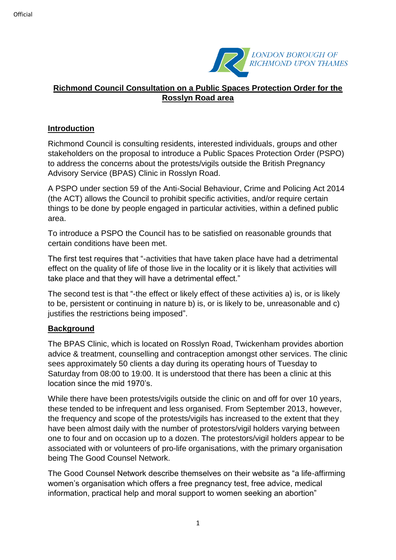

# **Richmond Council Consultation on a Public Spaces Protection Order for the Rosslyn Road area**

### **Introduction**

Richmond Council is consulting residents, interested individuals, groups and other stakeholders on the proposal to introduce a Public Spaces Protection Order (PSPO) to address the concerns about the protests/vigils outside the British Pregnancy Advisory Service (BPAS) Clinic in Rosslyn Road.

A PSPO under section 59 of the Anti-Social Behaviour, Crime and Policing Act 2014 (the ACT) allows the Council to prohibit specific activities, and/or require certain things to be done by people engaged in particular activities, within a defined public area.

To introduce a PSPO the Council has to be satisfied on reasonable grounds that certain conditions have been met.

The first test requires that "-activities that have taken place have had a detrimental effect on the quality of life of those live in the locality or it is likely that activities will take place and that they will have a detrimental effect."

The second test is that "-the effect or likely effect of these activities a) is, or is likely to be, persistent or continuing in nature b) is, or is likely to be, unreasonable and c) justifies the restrictions being imposed".

# **Background**

The BPAS Clinic, which is located on Rosslyn Road, Twickenham provides abortion advice & treatment, counselling and contraception amongst other services. The clinic sees approximately 50 clients a day during its operating hours of Tuesday to Saturday from 08:00 to 19:00. It is understood that there has been a clinic at this location since the mid 1970's.

While there have been protests/vigils outside the clinic on and off for over 10 years, these tended to be infrequent and less organised. From September 2013, however, the frequency and scope of the protests/vigils has increased to the extent that they have been almost daily with the number of protestors/vigil holders varying between one to four and on occasion up to a dozen. The protestors/vigil holders appear to be associated with or volunteers of pro-life organisations, with the primary organisation being The Good Counsel Network.

The Good Counsel Network describe themselves on their website as "a life-affirming women's organisation which offers a free pregnancy test, free advice, medical information, practical help and moral support to women seeking an abortion"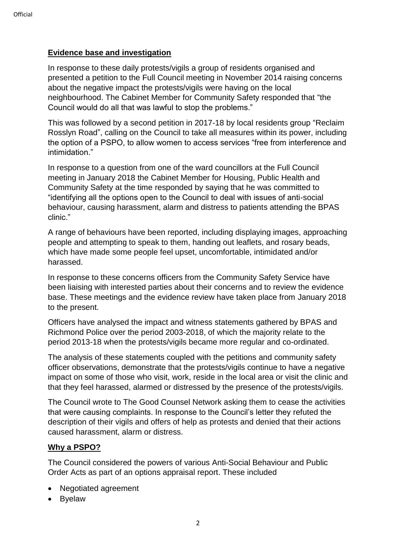### **Evidence base and investigation**

In response to these daily protests/vigils a group of residents organised and presented a petition to the Full Council meeting in November 2014 raising concerns about the negative impact the protests/vigils were having on the local neighbourhood. The Cabinet Member for Community Safety responded that "the Council would do all that was lawful to stop the problems."

This was followed by a second petition in 2017-18 by local residents group "Reclaim Rosslyn Road", calling on the Council to take all measures within its power, including the option of a PSPO, to allow women to access services "free from interference and intimidation."

In response to a question from one of the ward councillors at the Full Council meeting in January 2018 the Cabinet Member for Housing, Public Health and Community Safety at the time responded by saying that he was committed to "identifying all the options open to the Council to deal with issues of anti-social behaviour, causing harassment, alarm and distress to patients attending the BPAS clinic."

A range of behaviours have been reported, including displaying images, approaching people and attempting to speak to them, handing out leaflets, and rosary beads, which have made some people feel upset, uncomfortable, intimidated and/or harassed.

In response to these concerns officers from the Community Safety Service have been liaising with interested parties about their concerns and to review the evidence base. These meetings and the evidence review have taken place from January 2018 to the present.

Officers have analysed the impact and witness statements gathered by BPAS and Richmond Police over the period 2003-2018, of which the majority relate to the period 2013-18 when the protests/vigils became more regular and co-ordinated.

The analysis of these statements coupled with the petitions and community safety officer observations, demonstrate that the protests/vigils continue to have a negative impact on some of those who visit, work, reside in the local area or visit the clinic and that they feel harassed, alarmed or distressed by the presence of the protests/vigils.

The Council wrote to The Good Counsel Network asking them to cease the activities that were causing complaints. In response to the Council's letter they refuted the description of their vigils and offers of help as protests and denied that their actions caused harassment, alarm or distress.

# **Why a PSPO?**

The Council considered the powers of various Anti-Social Behaviour and Public Order Acts as part of an options appraisal report. These included

- Negotiated agreement
- Byelaw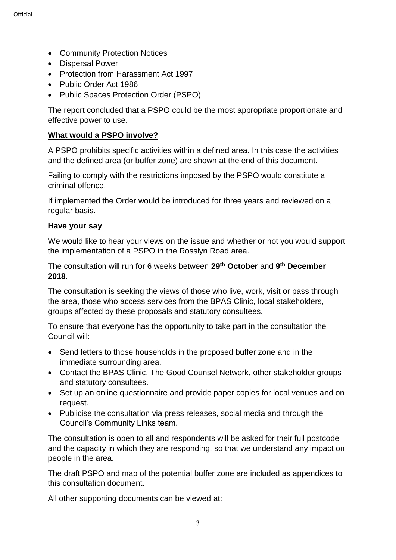- Community Protection Notices
- Dispersal Power
- Protection from Harassment Act 1997
- Public Order Act 1986
- Public Spaces Protection Order (PSPO)

The report concluded that a PSPO could be the most appropriate proportionate and effective power to use.

# **What would a PSPO involve?**

A PSPO prohibits specific activities within a defined area. In this case the activities and the defined area (or buffer zone) are shown at the end of this document.

Failing to comply with the restrictions imposed by the PSPO would constitute a criminal offence.

If implemented the Order would be introduced for three years and reviewed on a regular basis.

### **Have your say**

We would like to hear your views on the issue and whether or not you would support the implementation of a PSPO in the Rosslyn Road area.

The consultation will run for 6 weeks between **29th October** and **9 th December 2018**.

The consultation is seeking the views of those who live, work, visit or pass through the area, those who access services from the BPAS Clinic, local stakeholders, groups affected by these proposals and statutory consultees.

To ensure that everyone has the opportunity to take part in the consultation the Council will:

- Send letters to those households in the proposed buffer zone and in the immediate surrounding area.
- Contact the BPAS Clinic, The Good Counsel Network, other stakeholder groups and statutory consultees.
- Set up an online questionnaire and provide paper copies for local venues and on request.
- Publicise the consultation via press releases, social media and through the Council's Community Links team.

The consultation is open to all and respondents will be asked for their full postcode and the capacity in which they are responding, so that we understand any impact on people in the area.

The draft PSPO and map of the potential buffer zone are included as appendices to this consultation document.

All other supporting documents can be viewed at: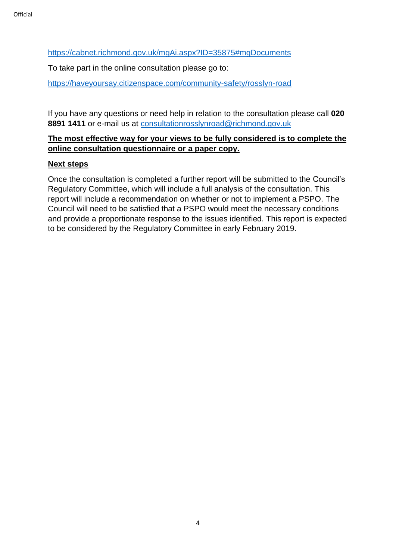<https://cabnet.richmond.gov.uk/mgAi.aspx?ID=35875#mgDocuments>

To take part in the online consultation please go to:

<https://haveyoursay.citizenspace.com/community-safety/rosslyn-road>

If you have any questions or need help in relation to the consultation please call **020 8891 1411** or e-mail us at [consultationrosslynroad@richmond.gov.uk](mailto:consultationrosslynroad@richmond.gov.uk)

# **The most effective way for your views to be fully considered is to complete the online consultation questionnaire or a paper copy.**

### **Next steps**

Once the consultation is completed a further report will be submitted to the Council's Regulatory Committee, which will include a full analysis of the consultation. This report will include a recommendation on whether or not to implement a PSPO. The Council will need to be satisfied that a PSPO would meet the necessary conditions and provide a proportionate response to the issues identified. This report is expected to be considered by the Regulatory Committee in early February 2019.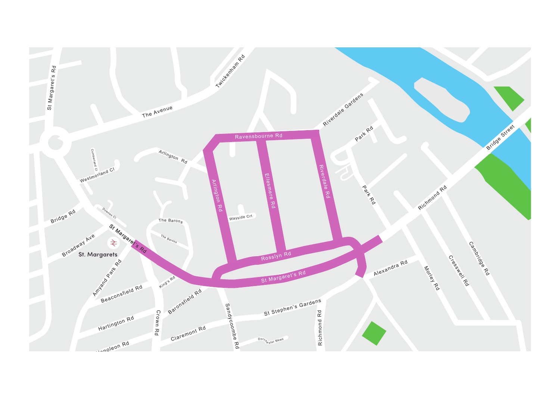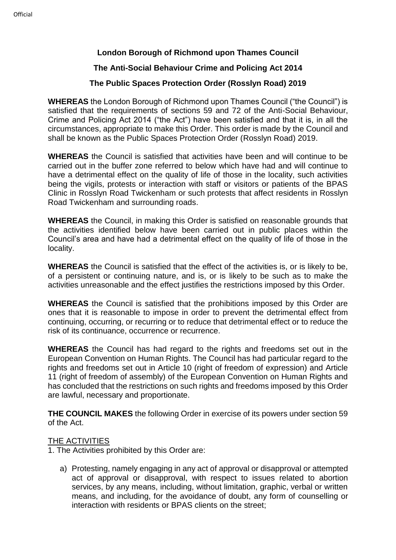# **London Borough of Richmond upon Thames Council**

# **The Anti-Social Behaviour Crime and Policing Act 2014**

# **The Public Spaces Protection Order (Rosslyn Road) 2019**

**WHEREAS** the London Borough of Richmond upon Thames Council ("the Council") is satisfied that the requirements of sections 59 and 72 of the Anti-Social Behaviour, Crime and Policing Act 2014 ("the Act") have been satisfied and that it is, in all the circumstances, appropriate to make this Order. This order is made by the Council and shall be known as the Public Spaces Protection Order (Rosslyn Road) 2019.

**WHEREAS** the Council is satisfied that activities have been and will continue to be carried out in the buffer zone referred to below which have had and will continue to have a detrimental effect on the quality of life of those in the locality, such activities being the vigils, protests or interaction with staff or visitors or patients of the BPAS Clinic in Rosslyn Road Twickenham or such protests that affect residents in Rosslyn Road Twickenham and surrounding roads.

**WHEREAS** the Council, in making this Order is satisfied on reasonable grounds that the activities identified below have been carried out in public places within the Council's area and have had a detrimental effect on the quality of life of those in the locality.

**WHEREAS** the Council is satisfied that the effect of the activities is, or is likely to be, of a persistent or continuing nature, and is, or is likely to be such as to make the activities unreasonable and the effect justifies the restrictions imposed by this Order.

**WHEREAS** the Council is satisfied that the prohibitions imposed by this Order are ones that it is reasonable to impose in order to prevent the detrimental effect from continuing, occurring, or recurring or to reduce that detrimental effect or to reduce the risk of its continuance, occurrence or recurrence.

**WHEREAS** the Council has had regard to the rights and freedoms set out in the European Convention on Human Rights. The Council has had particular regard to the rights and freedoms set out in Article 10 (right of freedom of expression) and Article 11 (right of freedom of assembly) of the European Convention on Human Rights and has concluded that the restrictions on such rights and freedoms imposed by this Order are lawful, necessary and proportionate.

**THE COUNCIL MAKES** the following Order in exercise of its powers under section 59 of the Act.

#### THE ACTIVITIES

1. The Activities prohibited by this Order are:

a) Protesting, namely engaging in any act of approval or disapproval or attempted act of approval or disapproval, with respect to issues related to abortion services, by any means, including, without limitation, graphic, verbal or written means, and including, for the avoidance of doubt, any form of counselling or interaction with residents or BPAS clients on the street;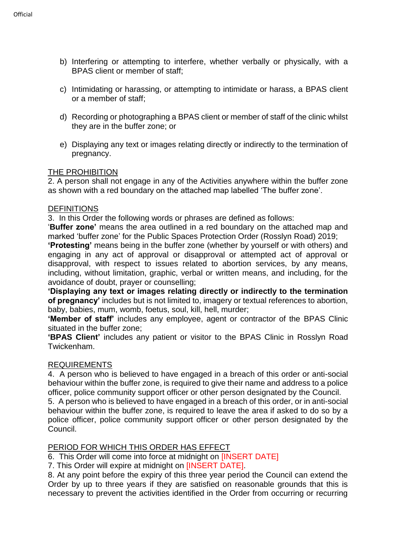- b) Interfering or attempting to interfere, whether verbally or physically, with a BPAS client or member of staff;
- c) Intimidating or harassing, or attempting to intimidate or harass, a BPAS client or a member of staff;
- d) Recording or photographing a BPAS client or member of staff of the clinic whilst they are in the buffer zone; or
- e) Displaying any text or images relating directly or indirectly to the termination of pregnancy.

#### THE PROHIBITION

2. A person shall not engage in any of the Activities anywhere within the buffer zone as shown with a red boundary on the attached map labelled 'The buffer zone'.

#### **DEFINITIONS**

3. In this Order the following words or phrases are defined as follows:

'**Buffer zone'** means the area outlined in a red boundary on the attached map and marked 'buffer zone' for the Public Spaces Protection Order (Rosslyn Road) 2019;

**'Protesting'** means being in the buffer zone (whether by yourself or with others) and engaging in any act of approval or disapproval or attempted act of approval or disapproval, with respect to issues related to abortion services, by any means, including, without limitation, graphic, verbal or written means, and including, for the avoidance of doubt, prayer or counselling;

**'Displaying any text or images relating directly or indirectly to the termination of pregnancy'** includes but is not limited to, imagery or textual references to abortion, baby, babies, mum, womb, foetus, soul, kill, hell, murder;

**'Member of staff'** includes any employee, agent or contractor of the BPAS Clinic situated in the buffer zone;

**'BPAS Client'** includes any patient or visitor to the BPAS Clinic in Rosslyn Road Twickenham.

#### REQUIREMENTS

4. A person who is believed to have engaged in a breach of this order or anti-social behaviour within the buffer zone, is required to give their name and address to a police officer, police community support officer or other person designated by the Council.

5. A person who is believed to have engaged in a breach of this order, or in anti-social behaviour within the buffer zone, is required to leave the area if asked to do so by a police officer, police community support officer or other person designated by the Council.

#### PERIOD FOR WHICH THIS ORDER HAS EFFECT

6. This Order will come into force at midnight on [INSERT DATE]

7. This Order will expire at midnight on [INSERT DATE].

8. At any point before the expiry of this three year period the Council can extend the Order by up to three years if they are satisfied on reasonable grounds that this is necessary to prevent the activities identified in the Order from occurring or recurring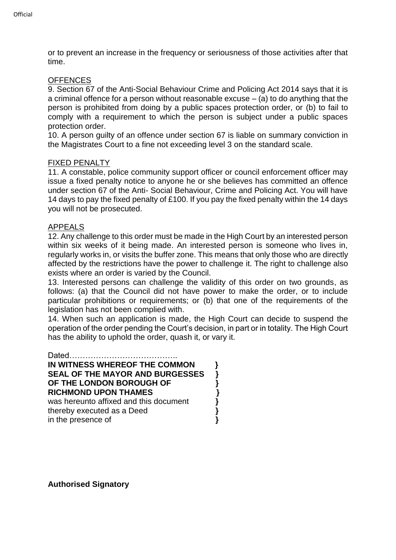or to prevent an increase in the frequency or seriousness of those activities after that time.

### **OFFENCES**

9. Section 67 of the Anti-Social Behaviour Crime and Policing Act 2014 says that it is a criminal offence for a person without reasonable excuse – (a) to do anything that the person is prohibited from doing by a public spaces protection order, or (b) to fail to comply with a requirement to which the person is subject under a public spaces protection order.

10. A person guilty of an offence under section 67 is liable on summary conviction in the Magistrates Court to a fine not exceeding level 3 on the standard scale.

#### FIXED PENALTY

11. A constable, police community support officer or council enforcement officer may issue a fixed penalty notice to anyone he or she believes has committed an offence under section 67 of the Anti- Social Behaviour, Crime and Policing Act. You will have 14 days to pay the fixed penalty of £100. If you pay the fixed penalty within the 14 days you will not be prosecuted.

#### APPEALS

12. Any challenge to this order must be made in the High Court by an interested person within six weeks of it being made. An interested person is someone who lives in, regularly works in, or visits the buffer zone. This means that only those who are directly affected by the restrictions have the power to challenge it. The right to challenge also exists where an order is varied by the Council.

13. Interested persons can challenge the validity of this order on two grounds, as follows: (a) that the Council did not have power to make the order, or to include particular prohibitions or requirements; or (b) that one of the requirements of the legislation has not been complied with.

14. When such an application is made, the High Court can decide to suspend the operation of the order pending the Court's decision, in part or in totality. The High Court has the ability to uphold the order, quash it, or vary it.

Dated………………………………….. **IN WITNESS WHEREOF THE COMMON } SEAL OF THE MAYOR AND BURGESSES } OF THE LONDON BOROUGH OF } RICHMOND UPON THAMES }** was hereunto affixed and this document<br>thereby executed as a Deed<br>in the presence of thereby executed as a Deed **}** in the presence of **}**

**Authorised Signatory**